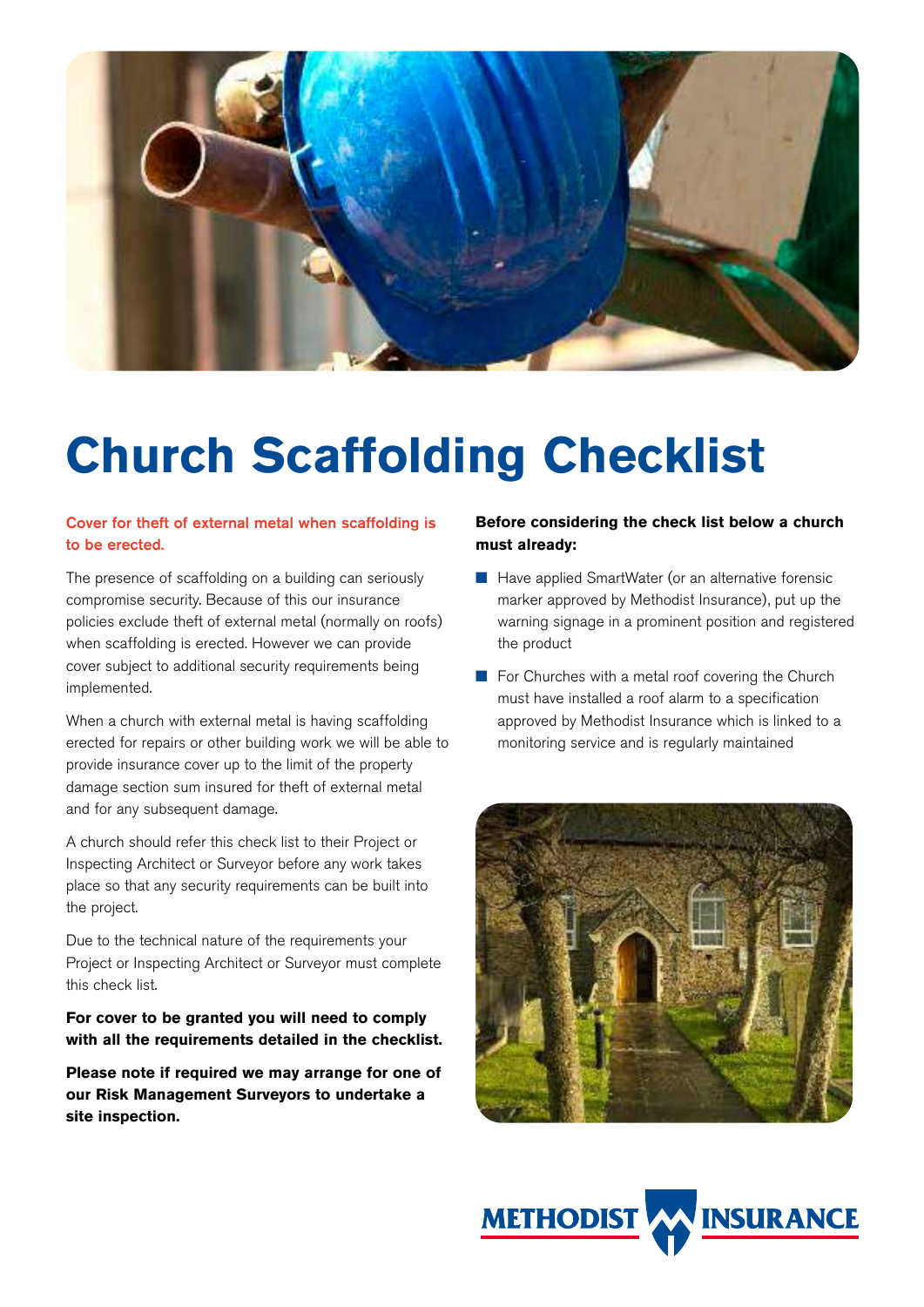

# **Church Scaffolding Checklist**

### Cover for theft of external metal when scaffolding is to be erected.

The presence of scaffolding on a building can seriously compromise security. Because of this our insurance policies exclude theft of external metal (normally on roofs) when scaffolding is erected. However we can provide cover subject to additional security requirements being implemented.

When a church with external metal is having scaffolding erected for repairs or other building work we will be able to provide insurance cover up to the limit of the property damage section sum insured for theft of external metal and for any subsequent damage.

A church should refer this check list to their Project or Inspecting Architect or Surveyor before any work takes place so that any security requirements can be built into the project.

Due to the technical nature of the requirements your Project or Inspecting Architect or Surveyor must complete this check list.

**For cover to be granted you will need to comply with all the requirements detailed in the checklist.** 

**Please note if required we may arrange for one of our Risk Management Surveyors to undertake a site inspection.** 

# **Before considering the check list below a church must already:**

- Have applied SmartWater (or an alternative forensic marker approved by Methodist Insurance), put up the warning signage in a prominent position and registered the product
- For Churches with a metal roof covering the Church must have installed a roof alarm to a specification approved by Methodist Insurance which is linked to a monitoring service and is regularly maintained



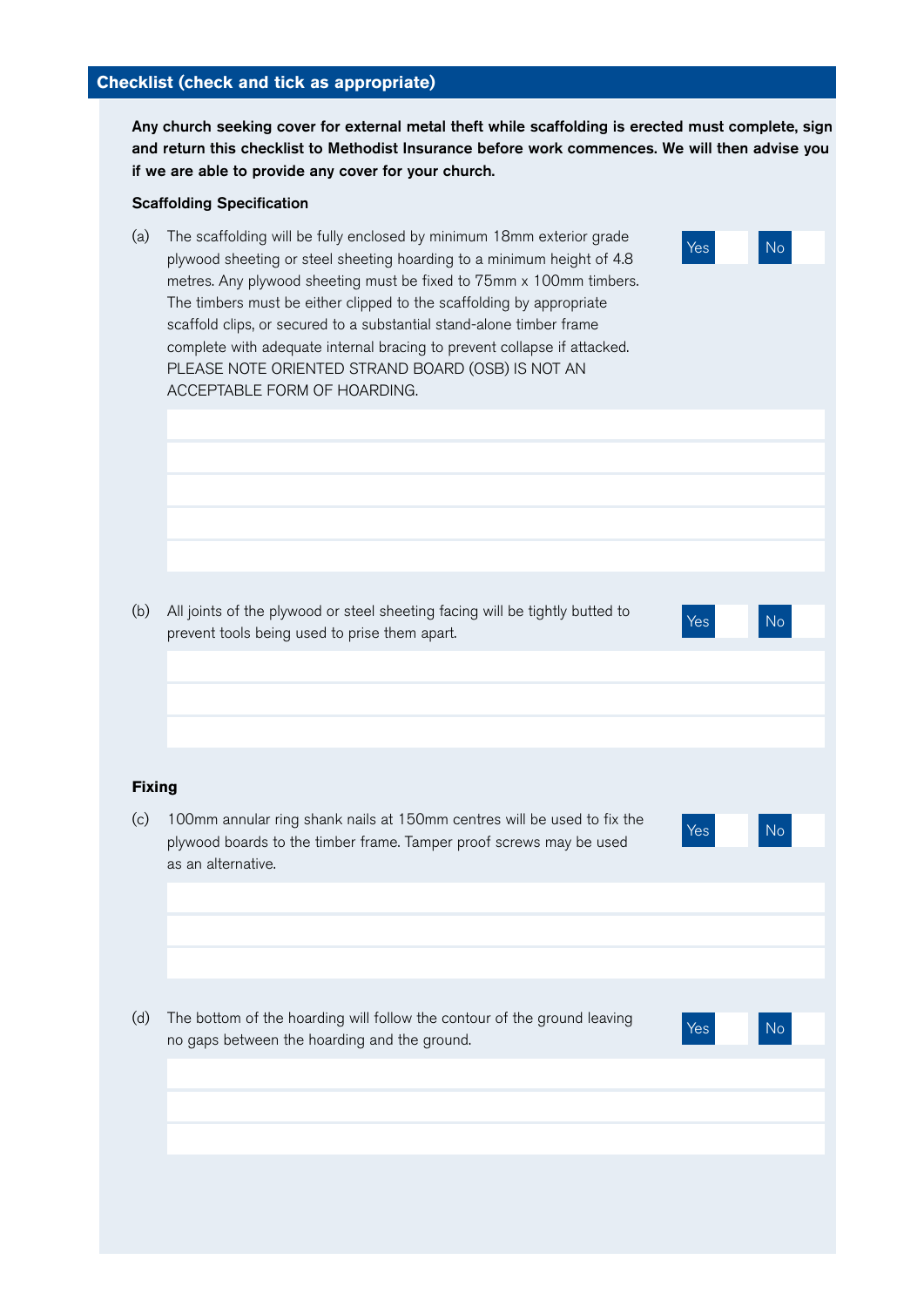### **Checklist (check and tick as appropriate)**

Any church seeking cover for external metal theft while scaffolding is erected must complete, sign and return this checklist to Methodist Insurance before work commences. We will then advise you if we are able to provide any cover for your church.

### Scaffolding Specification

(a) The scaffolding will be fully enclosed by minimum 18mm exterior grade plywood sheeting or steel sheeting hoarding to a minimum height of 4.8 metres. Any plywood sheeting must be fixed to 75mm x 100mm timbers. The timbers must be either clipped to the scaffolding by appropriate scaffold clips, or secured to a substantial stand-alone timber frame complete with adequate internal bracing to prevent collapse if attacked. PLEASE NOTE ORIENTED STRAND BOARD (OSB) IS NOT AN ACCEPTABLE FORM OF HOARDING.

(b) All joints of the plywood or steel sheeting facing will be tightly butted to Prevent tools being used to prise them apart.

### **Fixing**

- (c) 100mm annular ring shank nails at 150mm centres will be used to fix the plywood boards to the timber frame. Tamper proof screws may be used as an alternative.
- Yes No

Yes No

- (d) The bottom of the hoarding will follow the contour of the ground leaving no gaps between the hoarding and the ground.
-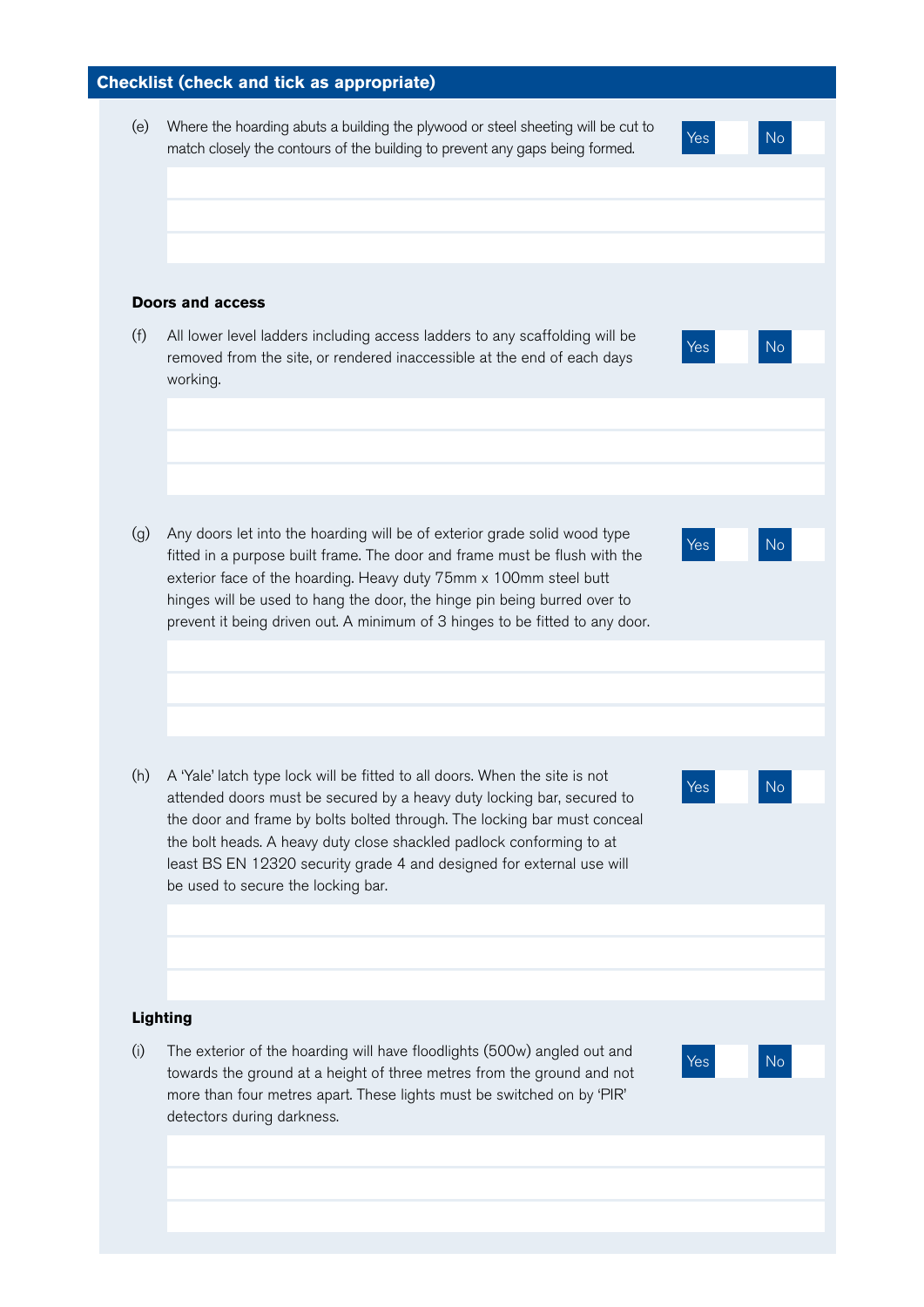# (h) A 'Yale' latch type lock will be fitted to all doors. When the site is not **Checklist (check and tick as appropriate)**  (e) Where the hoarding abuts a building the plywood or steel sheeting will be cut to match closely the contours of the building to prevent any gaps being formed. **Doors and access**  (f) All lower level ladders including access ladders to any scaffolding will be removed from the site, or rendered inaccessible at the end of each days working. (g) Any doors let into the hoarding will be of exterior grade solid wood type fitted in a purpose built frame. The door and frame must be flush with the exterior face of the hoarding. Heavy duty 75mm x 100mm steel butt hinges will be used to hang the door, the hinge pin being burred over to prevent it being driven out. A minimum of 3 hinges to be fitted to any door. attended doors must be secured by a heavy duty locking bar, secured to the door and frame by bolts bolted through. The locking bar must conceal the bolt heads. A heavy duty close shackled padlock conforming to at least BS EN 12320 security grade 4 and designed for external use will be used to secure the locking bar. **Lighting**  (i) The exterior of the hoarding will have floodlights (500w) angled out and towards the ground at a height of three metres from the ground and not more than four metres apart. These lights must be switched on by 'PIR' detectors during darkness. Yes No Yes No Yes No Yes No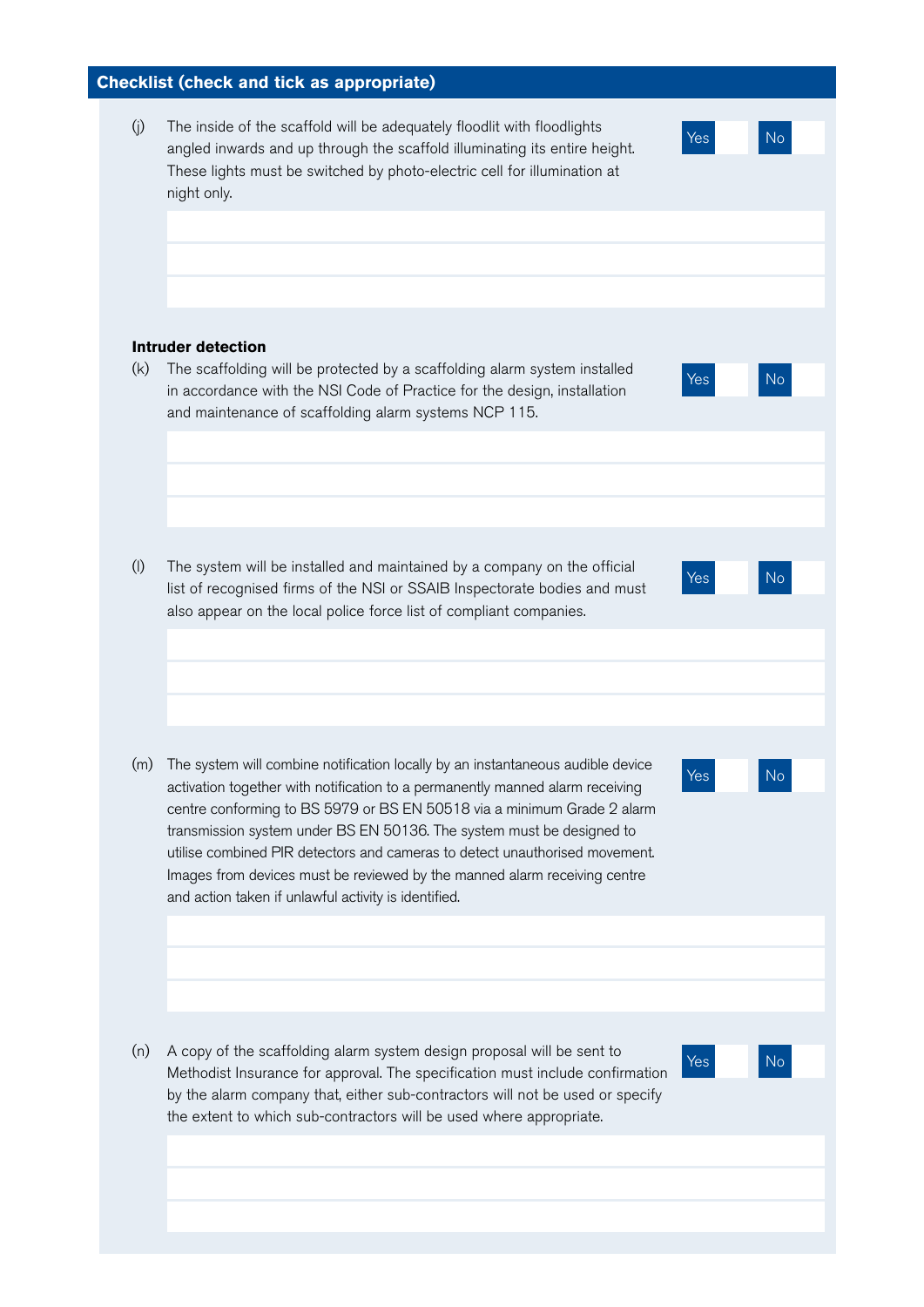# **Checklist (check and tick as appropriate)**

(j) The inside of the scaffold will be adequately floodlit with floodlights angled inwards and up through the scaffold illuminating its entire height. These lights must be switched by photo-electric cell for illumination at night only.

Yes No

Yes No

Yes No

Yes No

Yes No

#### **Intruder detection**

(k) The scaffolding will be protected by a scaffolding alarm system installed in accordance with the NSI Code of Practice for the design, installation and maintenance of scaffolding alarm systems NCP 115.

(l) The system will be installed and maintained by a company on the official list of recognised firms of the NSI or SSAIB Inspectorate bodies and must also appear on the local police force list of compliant companies.

(m) The system will combine notification locally by an instantaneous audible device activation together with notification to a permanently manned alarm receiving centre conforming to BS 5979 or BS EN 50518 via a minimum Grade 2 alarm transmission system under BS EN 50136. The system must be designed to utilise combined PIR detectors and cameras to detect unauthorised movement. Images from devices must be reviewed by the manned alarm receiving centre and action taken if unlawful activity is identified.

(n) A copy of the scaffolding alarm system design proposal will be sent to Methodist Insurance for approval. The specification must include confirmation by the alarm company that, either sub-contractors will not be used or specify the extent to which sub-contractors will be used where appropriate.